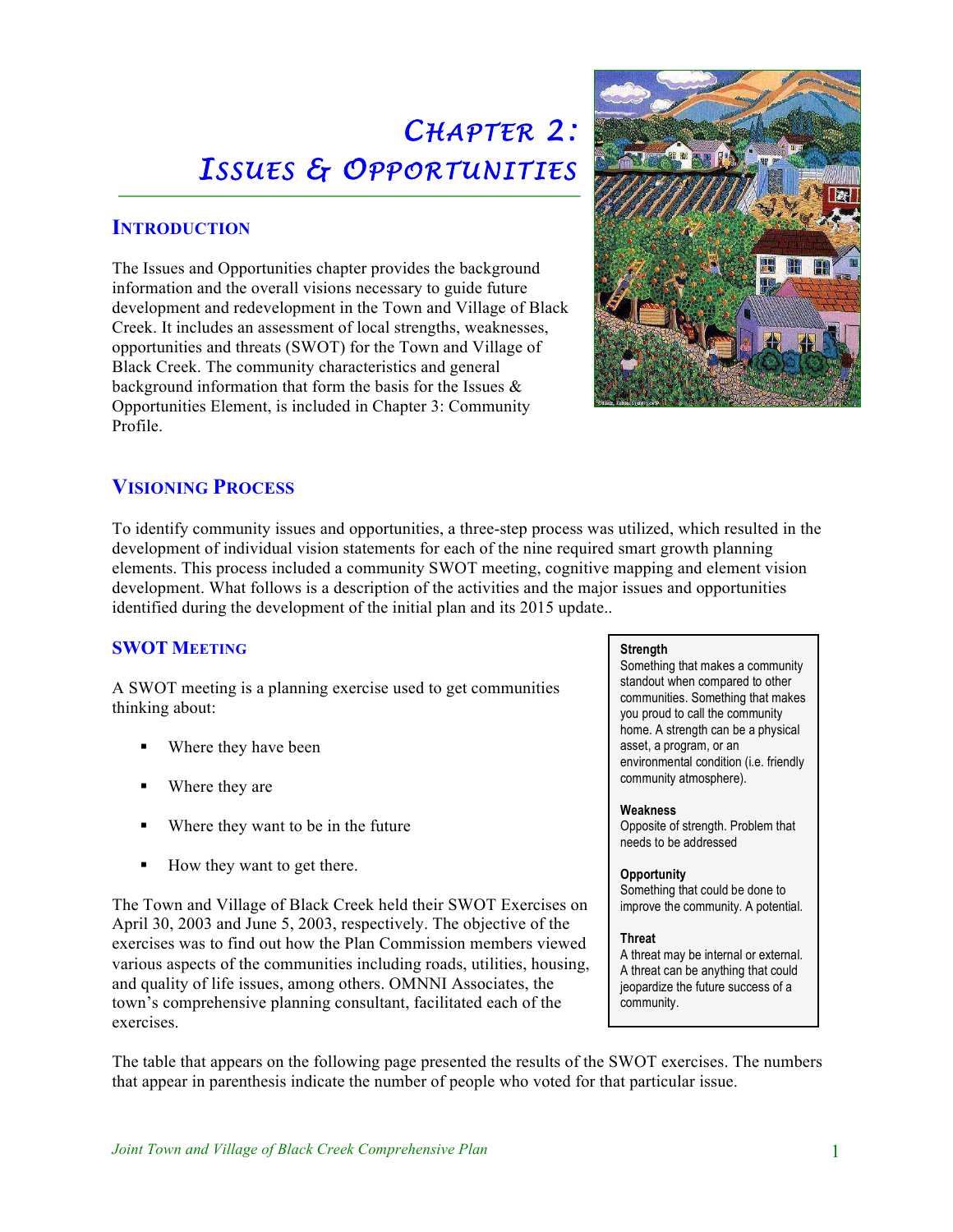# *CHAPTER 2 : ISSUES & OPPORTUNITIES*

# **INTRODUCTION**

Ĵ.

The Issues and Opportunities chapter provides the background information and the overall visions necessary to guide future development and redevelopment in the Town and Village of Black Creek. It includes an assessment of local strengths, weaknesses, opportunities and threats (SWOT) for the Town and Village of Black Creek. The community characteristics and general background information that form the basis for the Issues & Opportunities Element, is included in Chapter 3: Community Profile.



# **VISIONING PROCESS**

To identify community issues and opportunities, a three-step process was utilized, which resulted in the development of individual vision statements for each of the nine required smart growth planning elements. This process included a community SWOT meeting, cognitive mapping and element vision development. What follows is a description of the activities and the major issues and opportunities identified during the development of the initial plan and its 2015 update..

## **SWOT MEETING**

A SWOT meeting is a planning exercise used to get communities thinking about:

- Where they have been
- Where they are
- Where they want to be in the future
- ! How they want to get there.

The Town and Village of Black Creek held their SWOT Exercises on April 30, 2003 and June 5, 2003, respectively. The objective of the exercises was to find out how the Plan Commission members viewed various aspects of the communities including roads, utilities, housing, and quality of life issues, among others. OMNNI Associates, the town's comprehensive planning consultant, facilitated each of the exercises.

## **Strength**

Something that makes a community standout when compared to other communities. Something that makes you proud to call the community home. A strength can be a physical asset, a program, or an environmental condition (i.e. friendly community atmosphere).

## **Weakness**

Opposite of strength. Problem that needs to be addressed

#### **Opportunity** Something that could be done to improve the community. A potential.

## **Threat**

A threat may be internal or external. A threat can be anything that could jeopardize the future success of a community.

The table that appears on the following page presented the results of the SWOT exercises. The numbers that appear in parenthesis indicate the number of people who voted for that particular issue.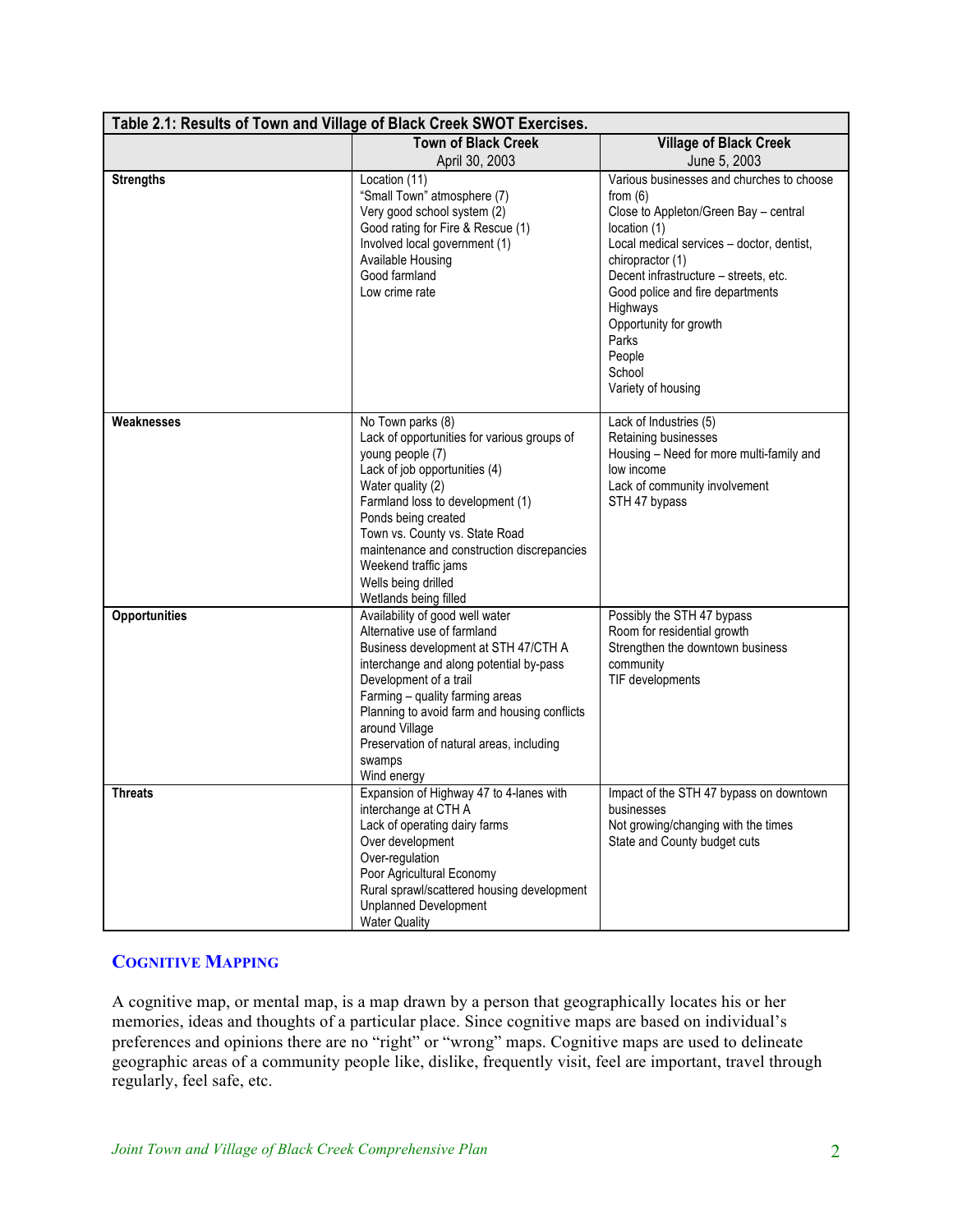| Table 2.1: Results of Town and Village of Black Creek SWOT Exercises. |                                                                                                                                                                                                                                                                                                                                                               |                                                                                                                                                                                                                                                                                                                                                         |  |  |
|-----------------------------------------------------------------------|---------------------------------------------------------------------------------------------------------------------------------------------------------------------------------------------------------------------------------------------------------------------------------------------------------------------------------------------------------------|---------------------------------------------------------------------------------------------------------------------------------------------------------------------------------------------------------------------------------------------------------------------------------------------------------------------------------------------------------|--|--|
|                                                                       | <b>Town of Black Creek</b>                                                                                                                                                                                                                                                                                                                                    | <b>Village of Black Creek</b>                                                                                                                                                                                                                                                                                                                           |  |  |
|                                                                       | April 30, 2003                                                                                                                                                                                                                                                                                                                                                | June 5, 2003                                                                                                                                                                                                                                                                                                                                            |  |  |
| <b>Strengths</b>                                                      | Location (11)<br>"Small Town" atmosphere (7)<br>Very good school system (2)<br>Good rating for Fire & Rescue (1)<br>Involved local government (1)<br>Available Housing<br>Good farmland<br>Low crime rate                                                                                                                                                     | Various businesses and churches to choose<br>from $(6)$<br>Close to Appleton/Green Bay - central<br>location (1)<br>Local medical services - doctor, dentist,<br>chiropractor (1)<br>Decent infrastructure - streets, etc.<br>Good police and fire departments<br>Highways<br>Opportunity for growth<br>Parks<br>People<br>School<br>Variety of housing |  |  |
| Weaknesses                                                            | No Town parks (8)<br>Lack of opportunities for various groups of<br>young people (7)<br>Lack of job opportunities (4)<br>Water quality (2)<br>Farmland loss to development (1)<br>Ponds being created<br>Town vs. County vs. State Road<br>maintenance and construction discrepancies<br>Weekend traffic jams<br>Wells being drilled<br>Wetlands being filled | Lack of Industries (5)<br>Retaining businesses<br>Housing - Need for more multi-family and<br>low income<br>Lack of community involvement<br>STH 47 bypass                                                                                                                                                                                              |  |  |
| <b>Opportunities</b>                                                  | Availability of good well water<br>Alternative use of farmland<br>Business development at STH 47/CTH A<br>interchange and along potential by-pass<br>Development of a trail<br>Farming - quality farming areas<br>Planning to avoid farm and housing conflicts<br>around Village<br>Preservation of natural areas, including<br>swamps<br>Wind energy         | Possibly the STH 47 bypass<br>Room for residential growth<br>Strengthen the downtown business<br>community<br>TIF developments                                                                                                                                                                                                                          |  |  |
| Threats                                                               | Expansion of Highway 47 to 4-lanes with<br>interchange at CTH A<br>Lack of operating dairy farms<br>Over development<br>Over-regulation<br>Poor Agricultural Economy<br>Rural sprawl/scattered housing development<br><b>Unplanned Development</b><br><b>Water Quality</b>                                                                                    | Impact of the STH 47 bypass on downtown<br>businesses<br>Not growing/changing with the times<br>State and County budget cuts                                                                                                                                                                                                                            |  |  |

## **COGNITIVE MAPPING**

A cognitive map, or mental map, is a map drawn by a person that geographically locates his or her memories, ideas and thoughts of a particular place. Since cognitive maps are based on individual's preferences and opinions there are no "right" or "wrong" maps. Cognitive maps are used to delineate geographic areas of a community people like, dislike, frequently visit, feel are important, travel through regularly, feel safe, etc.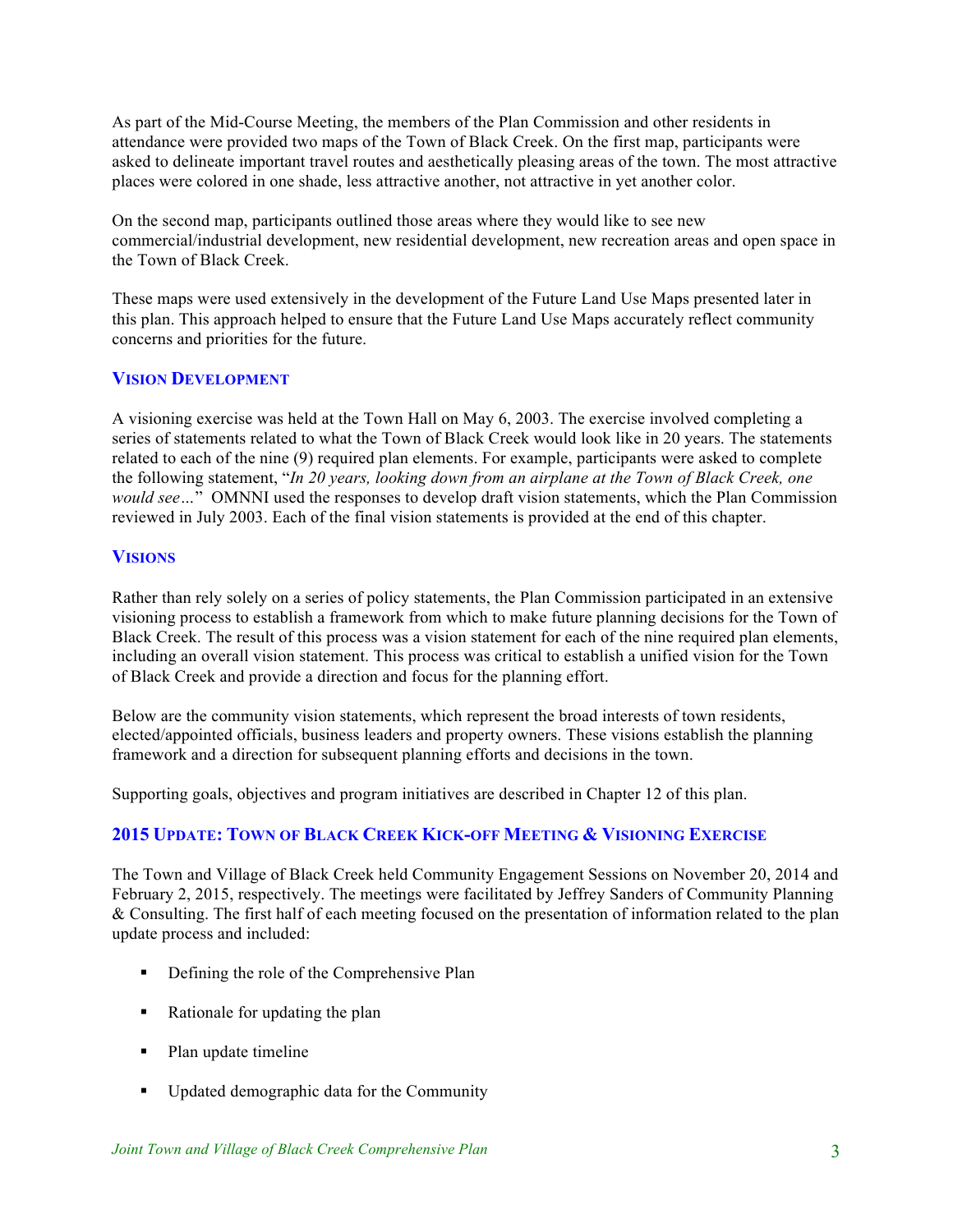As part of the Mid-Course Meeting, the members of the Plan Commission and other residents in attendance were provided two maps of the Town of Black Creek. On the first map, participants were asked to delineate important travel routes and aesthetically pleasing areas of the town. The most attractive places were colored in one shade, less attractive another, not attractive in yet another color.

On the second map, participants outlined those areas where they would like to see new commercial/industrial development, new residential development, new recreation areas and open space in the Town of Black Creek.

These maps were used extensively in the development of the Future Land Use Maps presented later in this plan. This approach helped to ensure that the Future Land Use Maps accurately reflect community concerns and priorities for the future.

## **VISION DEVELOPMENT**

A visioning exercise was held at the Town Hall on May 6, 2003. The exercise involved completing a series of statements related to what the Town of Black Creek would look like in 20 years. The statements related to each of the nine (9) required plan elements. For example, participants were asked to complete the following statement, "*In 20 years, looking down from an airplane at the Town of Black Creek, one would see…*" OMNNI used the responses to develop draft vision statements, which the Plan Commission reviewed in July 2003. Each of the final vision statements is provided at the end of this chapter.

## **VISIONS**

Rather than rely solely on a series of policy statements, the Plan Commission participated in an extensive visioning process to establish a framework from which to make future planning decisions for the Town of Black Creek. The result of this process was a vision statement for each of the nine required plan elements, including an overall vision statement. This process was critical to establish a unified vision for the Town of Black Creek and provide a direction and focus for the planning effort.

Below are the community vision statements, which represent the broad interests of town residents, elected/appointed officials, business leaders and property owners. These visions establish the planning framework and a direction for subsequent planning efforts and decisions in the town.

Supporting goals, objectives and program initiatives are described in Chapter 12 of this plan.

## **2015 UPDATE: TOWN OF BLACK CREEK KICK-OFF MEETING & VISIONING EXERCISE**

The Town and Village of Black Creek held Community Engagement Sessions on November 20, 2014 and February 2, 2015, respectively. The meetings were facilitated by Jeffrey Sanders of Community Planning & Consulting. The first half of each meeting focused on the presentation of information related to the plan update process and included:

- ! Defining the role of the Comprehensive Plan
- ! Rationale for updating the plan
- Plan update timeline
- ! Updated demographic data for the Community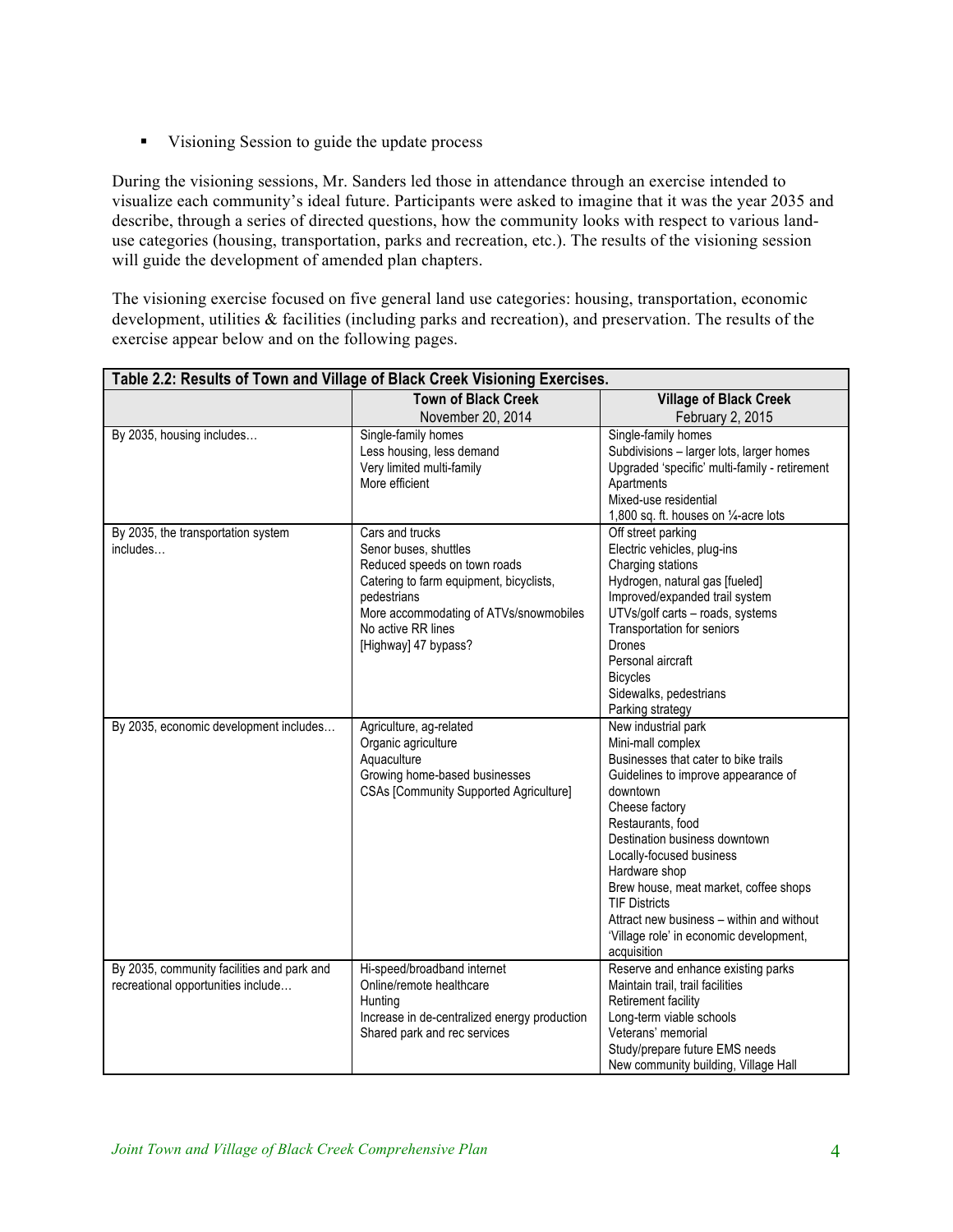! Visioning Session to guide the update process

During the visioning sessions, Mr. Sanders led those in attendance through an exercise intended to visualize each community's ideal future. Participants were asked to imagine that it was the year 2035 and describe, through a series of directed questions, how the community looks with respect to various landuse categories (housing, transportation, parks and recreation, etc.). The results of the visioning session will guide the development of amended plan chapters.

The visioning exercise focused on five general land use categories: housing, transportation, economic development, utilities & facilities (including parks and recreation), and preservation. The results of the exercise appear below and on the following pages.

| Table 2.2: Results of Town and Village of Black Creek Visioning Exercises.       |                                                                                                                                                                                                                            |                                                                                                                                                                                                                                                                                                                                                                                                                                  |  |
|----------------------------------------------------------------------------------|----------------------------------------------------------------------------------------------------------------------------------------------------------------------------------------------------------------------------|----------------------------------------------------------------------------------------------------------------------------------------------------------------------------------------------------------------------------------------------------------------------------------------------------------------------------------------------------------------------------------------------------------------------------------|--|
|                                                                                  | <b>Town of Black Creek</b>                                                                                                                                                                                                 | <b>Village of Black Creek</b>                                                                                                                                                                                                                                                                                                                                                                                                    |  |
|                                                                                  | November 20, 2014                                                                                                                                                                                                          | February 2, 2015                                                                                                                                                                                                                                                                                                                                                                                                                 |  |
| By 2035, housing includes                                                        | Single-family homes<br>Less housing, less demand<br>Very limited multi-family<br>More efficient                                                                                                                            | Single-family homes<br>Subdivisions - larger lots, larger homes<br>Upgraded 'specific' multi-family - retirement<br>Apartments<br>Mixed-use residential<br>1,800 sq. ft. houses on 1/4-acre lots                                                                                                                                                                                                                                 |  |
| By 2035, the transportation system<br>includes                                   | Cars and trucks<br>Senor buses, shuttles<br>Reduced speeds on town roads<br>Catering to farm equipment, bicyclists,<br>pedestrians<br>More accommodating of ATVs/snowmobiles<br>No active RR lines<br>[Highway] 47 bypass? | Off street parking<br>Electric vehicles, plug-ins<br>Charging stations<br>Hydrogen, natural gas [fueled]<br>Improved/expanded trail system<br>UTVs/golf carts - roads, systems<br>Transportation for seniors<br>Drones<br>Personal aircraft<br><b>Bicycles</b><br>Sidewalks, pedestrians<br>Parking strategy                                                                                                                     |  |
| By 2035, economic development includes                                           | Agriculture, ag-related<br>Organic agriculture<br>Aquaculture<br>Growing home-based businesses<br><b>CSAs [Community Supported Agriculture]</b>                                                                            | New industrial park<br>Mini-mall complex<br>Businesses that cater to bike trails<br>Guidelines to improve appearance of<br>downtown<br>Cheese factory<br>Restaurants, food<br>Destination business downtown<br>Locally-focused business<br>Hardware shop<br>Brew house, meat market, coffee shops<br><b>TIF Districts</b><br>Attract new business – within and without<br>'Village role' in economic development,<br>acquisition |  |
| By 2035, community facilities and park and<br>recreational opportunities include | Hi-speed/broadband internet<br>Online/remote healthcare<br>Hunting<br>Increase in de-centralized energy production<br>Shared park and rec services                                                                         | Reserve and enhance existing parks<br>Maintain trail, trail facilities<br>Retirement facility<br>Long-term viable schools<br>Veterans' memorial<br>Study/prepare future EMS needs<br>New community building, Village Hall                                                                                                                                                                                                        |  |